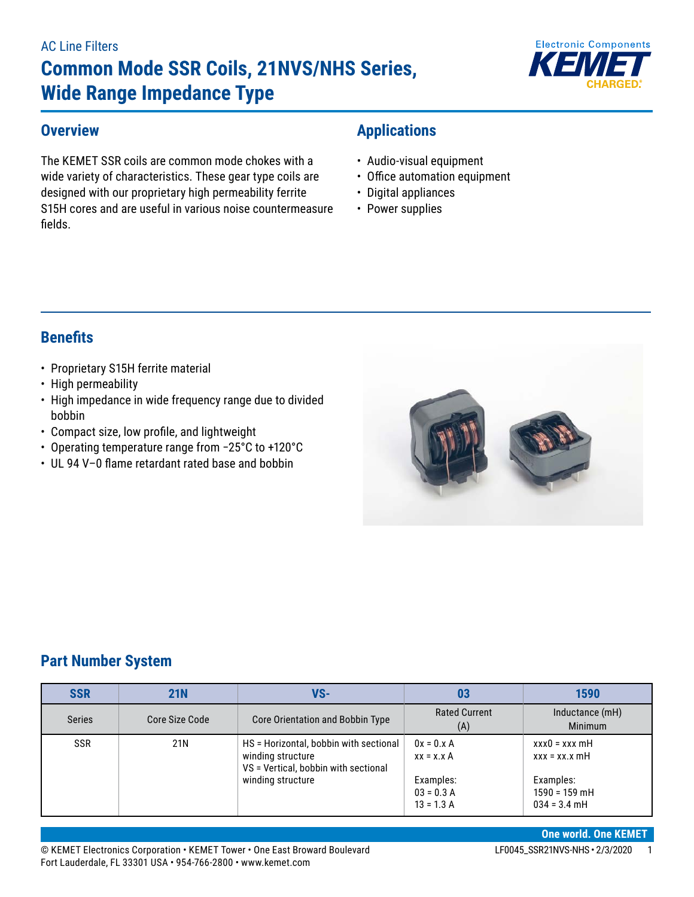#### AC Line Filters

# **Common Mode SSR Coils, 21NVS/NHS Series, Wide Range Impedance Type**



#### **Overview**

The KEMET SSR coils are common mode chokes with a wide variety of characteristics. These gear type coils are designed with our proprietary high permeability ferrite S15H cores and are useful in various noise countermeasure fields.

# **Applications**

- Audio-visual equipment
- Office automation equipment
- Digital appliances
- Power supplies

# **Benefits**

- Proprietary S15H ferrite material
- High permeability
- High impedance in wide frequency range due to divided bobbin
- • Compact size, low profile, and lightweight
- • Operating temperature range from −25°C to +120°C
- UL 94 V-0 flame retardant rated base and bobbin



#### **Part Number System**

| <b>SSR</b>        | <b>21N</b>     | VS-                                                                                                 | 03                                        | 1590                                           |
|-------------------|----------------|-----------------------------------------------------------------------------------------------------|-------------------------------------------|------------------------------------------------|
| <b>Series</b>     | Core Size Code | <b>Rated Current</b><br>Core Orientation and Bobbin Type<br>(A)                                     |                                           | Inductance (mH)<br>Minimum                     |
| <b>SSR</b><br>21N |                | HS = Horizontal, bobbin with sectional<br>winding structure<br>VS = Vertical, bobbin with sectional | $0x = 0.x A$<br>$xx = x.x A$              | $xxx0 = xxx$ mH<br>$xxx = xx.x$ mH             |
|                   |                | winding structure                                                                                   | Examples:<br>$03 = 0.3 A$<br>$13 = 1.3 A$ | Examples:<br>$1590 = 159$ mH<br>$034 = 3.4$ mH |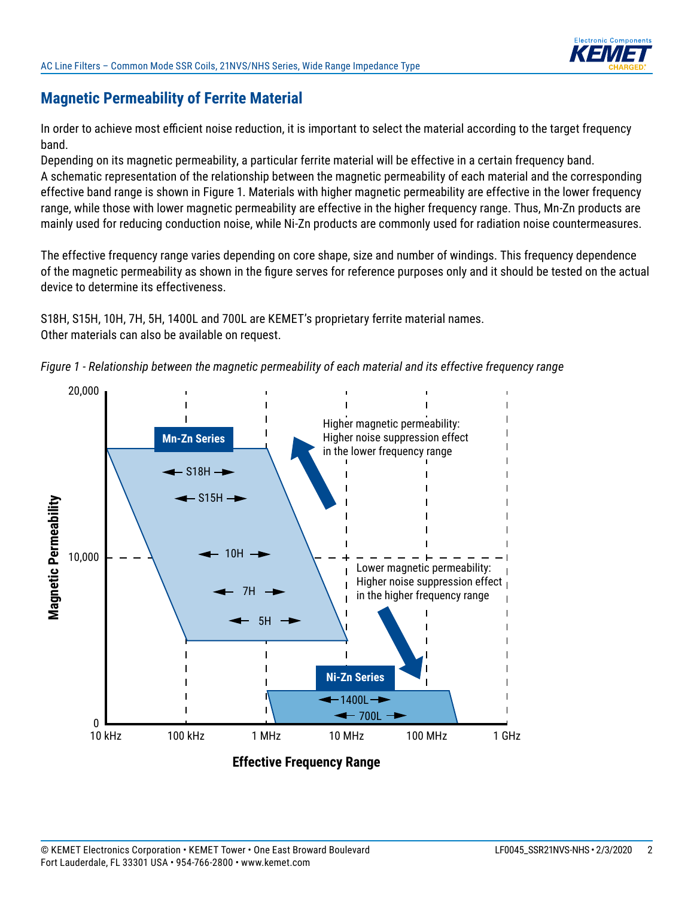

### **Magnetic Permeability of Ferrite Material**

In order to achieve most efficient noise reduction, it is important to select the material according to the target frequency band.

Depending on its magnetic permeability, a particular ferrite material will be effective in a certain frequency band. A schematic representation of the relationship between the magnetic permeability of each material and the corresponding effective band range is shown in Figure 1. Materials with higher magnetic permeability are effective in the lower frequency range, while those with lower magnetic permeability are effective in the higher frequency range. Thus, Mn-Zn products are mainly used for reducing conduction noise, while Ni-Zn products are commonly used for radiation noise countermeasures.

The effective frequency range varies depending on core shape, size and number of windings. This frequency dependence of the magnetic permeability as shown in the figure serves for reference purposes only and it should be tested on the actual device to determine its effectiveness.

S18H, S15H, 10H, 7H, 5H, 1400L and 700L are KEMET's proprietary ferrite material names. Other materials can also be available on request.



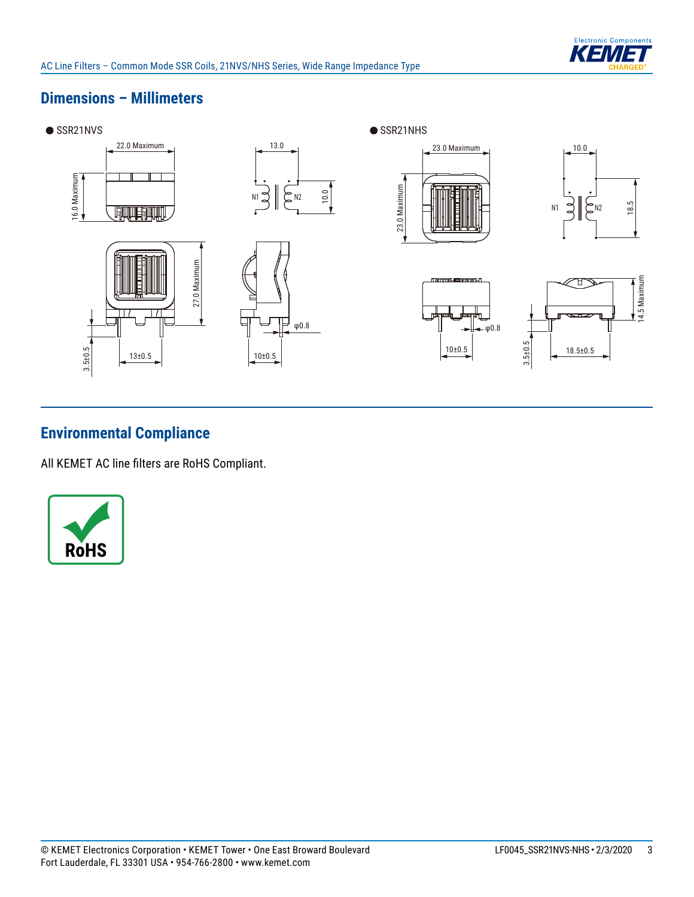

# **Dimensions – Millimeters**



# **Environmental Compliance**

All KEMET AC line filters are RoHS Compliant.

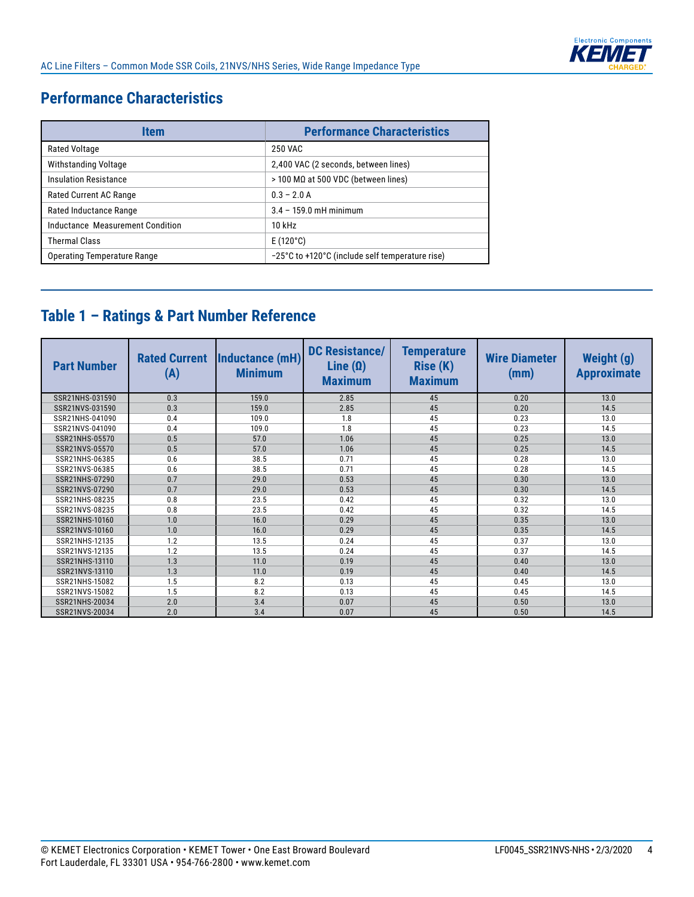

# **Performance Characteristics**

| Item                               | <b>Performance Characteristics</b>              |
|------------------------------------|-------------------------------------------------|
| Rated Voltage                      | 250 VAC                                         |
| Withstanding Voltage               | 2,400 VAC (2 seconds, between lines)            |
| <b>Insulation Resistance</b>       | $>$ 100 MΩ at 500 VDC (between lines)           |
| <b>Rated Current AC Range</b>      | $0.3 - 2.0 A$                                   |
| Rated Inductance Range             | $3.4 - 159.0$ mH minimum                        |
| Inductance Measurement Condition   | $10$ kHz                                        |
| <b>Thermal Class</b>               | $E(120^{\circ}C)$                               |
| <b>Operating Temperature Range</b> | -25°C to +120°C (include self temperature rise) |

# **Table 1 – Ratings & Part Number Reference**

| <b>Part Number</b> | <b>Rated Current</b><br>(A) | Inductance (mH)<br><b>Minimum</b> | <b>DC Resistance/</b><br>Line $(\Omega)$<br><b>Maximum</b> | <b>Temperature</b><br><b>Rise (K)</b><br><b>Maximum</b> | <b>Wire Diameter</b><br>(mm) | <b>Weight (g)</b><br><b>Approximate</b> |
|--------------------|-----------------------------|-----------------------------------|------------------------------------------------------------|---------------------------------------------------------|------------------------------|-----------------------------------------|
| SSR21NHS-031590    | 0.3                         | 159.0                             | 2.85                                                       | 45                                                      | 0.20                         | 13.0                                    |
| SSR21NVS-031590    | 0.3                         | 159.0                             | 2.85                                                       | 45                                                      | 0.20                         | 14.5                                    |
| SSR21NHS-041090    | 0.4                         | 109.0                             | 1.8                                                        | 45                                                      | 0.23                         | 13.0                                    |
| SSR21NVS-041090    | 0.4                         | 109.0                             | 1.8                                                        | 45                                                      | 0.23                         | 14.5                                    |
| SSR21NHS-05570     | 0.5                         | 57.0                              | 1.06                                                       | 45                                                      | 0.25                         | 13.0                                    |
| SSR21NVS-05570     | 0.5                         | 57.0                              | 1.06                                                       | 45                                                      | 0.25                         | 14.5                                    |
| SSR21NHS-06385     | 0.6                         | 38.5                              | 0.71                                                       | 45                                                      | 0.28                         | 13.0                                    |
| SSR21NVS-06385     | 0.6                         | 38.5                              | 0.71                                                       | 45                                                      | 0.28                         | 14.5                                    |
| SSR21NHS-07290     | 0.7                         | 29.0                              | 0.53                                                       | 45                                                      | 0.30                         | 13.0                                    |
| SSR21NVS-07290     | 0.7                         | 29.0                              | 0.53                                                       | 45                                                      | 0.30                         | 14.5                                    |
| SSR21NHS-08235     | 0.8                         | 23.5                              | 0.42                                                       | 45                                                      | 0.32                         | 13.0                                    |
| SSR21NVS-08235     | 0.8                         | 23.5                              | 0.42                                                       | 45                                                      | 0.32                         | 14.5                                    |
| SSR21NHS-10160     | 1.0                         | 16.0                              | 0.29                                                       | 45                                                      | 0.35                         | 13.0                                    |
| SSR21NVS-10160     | 1.0                         | 16.0                              | 0.29                                                       | 45                                                      | 0.35                         | 14.5                                    |
| SSR21NHS-12135     | 1.2                         | 13.5                              | 0.24                                                       | 45                                                      | 0.37                         | 13.0                                    |
| SSR21NVS-12135     | 1.2                         | 13.5                              | 0.24                                                       | 45                                                      | 0.37                         | 14.5                                    |
| SSR21NHS-13110     | 1.3                         | 11.0                              | 0.19                                                       | 45                                                      | 0.40                         | 13.0                                    |
| SSR21NVS-13110     | 1.3                         | 11.0                              | 0.19                                                       | 45                                                      | 0.40                         | 14.5                                    |
| SSR21NHS-15082     | 1.5                         | 8.2                               | 0.13                                                       | 45                                                      | 0.45                         | 13.0                                    |
| SSR21NVS-15082     | 1.5                         | 8.2                               | 0.13                                                       | 45                                                      | 0.45                         | 14.5                                    |
| SSR21NHS-20034     | 2.0                         | 3.4                               | 0.07                                                       | 45                                                      | 0.50                         | 13.0                                    |
| SSR21NVS-20034     | 2.0                         | 3.4                               | 0.07                                                       | 45                                                      | 0.50                         | 14.5                                    |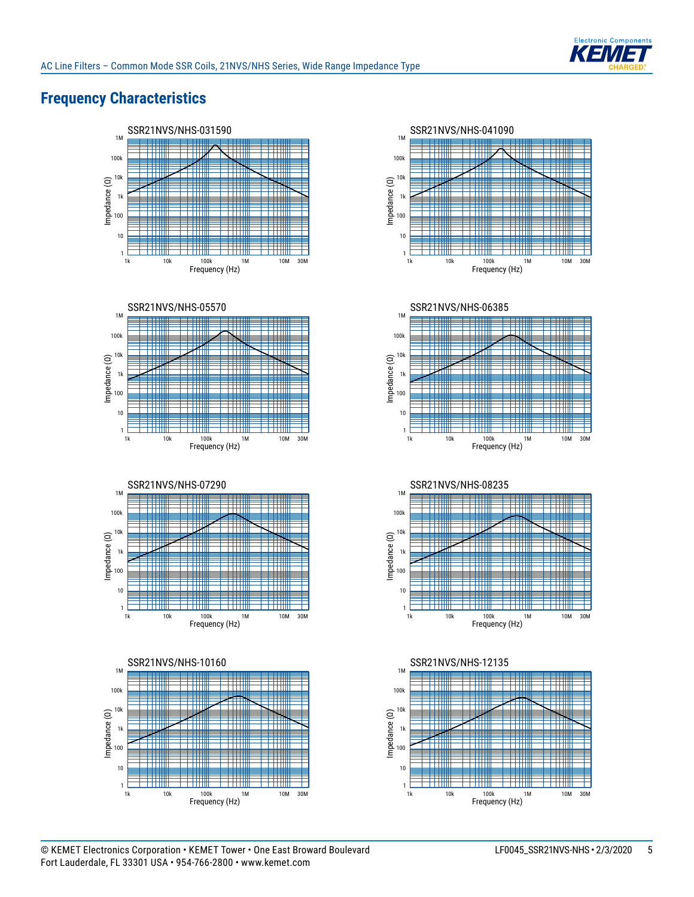

# **Frequency Characteristics**















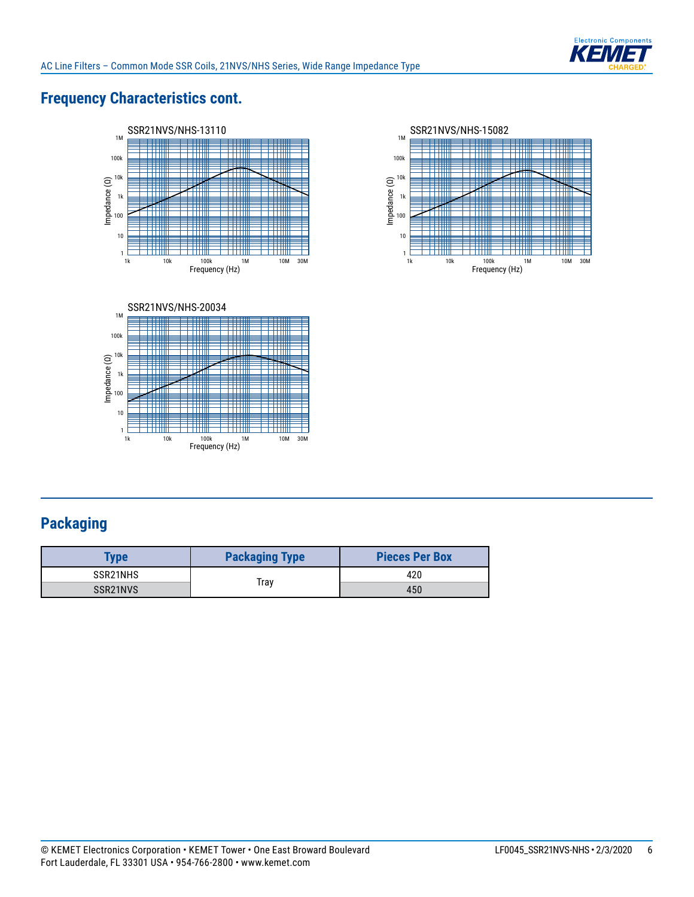

# **Frequency Characteristics cont.**







# **Packaging**

| <b>ype</b>            | <b>Packaging Type</b> | <b>Pieces Per Box</b> |  |
|-----------------------|-----------------------|-----------------------|--|
| SSR21NHS              |                       | 420                   |  |
| SSR <sub>21</sub> NVS | Trav                  | 450                   |  |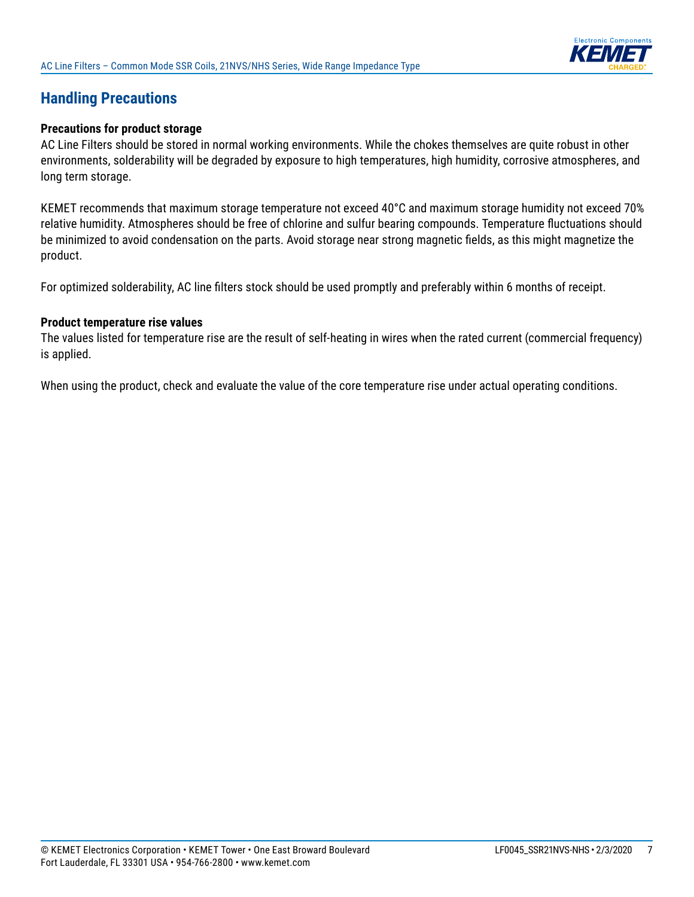

### **Handling Precautions**

#### **Precautions for product storage**

AC Line Filters should be stored in normal working environments. While the chokes themselves are quite robust in other environments, solderability will be degraded by exposure to high temperatures, high humidity, corrosive atmospheres, and long term storage.

KEMET recommends that maximum storage temperature not exceed 40°C and maximum storage humidity not exceed 70% relative humidity. Atmospheres should be free of chlorine and sulfur bearing compounds. Temperature fluctuations should be minimized to avoid condensation on the parts. Avoid storage near strong magnetic fields, as this might magnetize the product.

For optimized solderability, AC line filters stock should be used promptly and preferably within 6 months of receipt.

#### **Product temperature rise values**

The values listed for temperature rise are the result of self-heating in wires when the rated current (commercial frequency) is applied.

When using the product, check and evaluate the value of the core temperature rise under actual operating conditions.